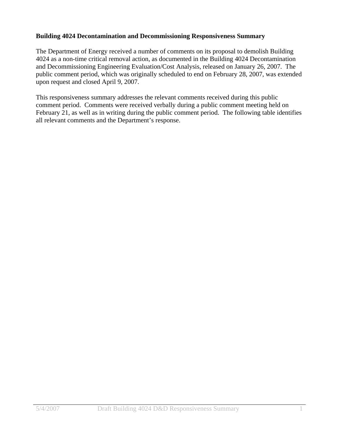## **Building 4024 Decontamination and Decommissioning Responsiveness Summary**

The Department of Energy received a number of comments on its proposal to demolish Building 4024 as a non-time critical removal action, as documented in the Building 4024 Decontamination and Decommissioning Engineering Evaluation/Cost Analysis, released on January 26, 2007. The public comment period, which was originally scheduled to end on February 28, 2007, was extended upon request and closed April 9, 2007.

This responsiveness summary addresses the relevant comments received during this public comment period. Comments were received verbally during a public comment meeting held on February 21, as well as in writing during the public comment period. The following table identifies all relevant comments and the Department's response.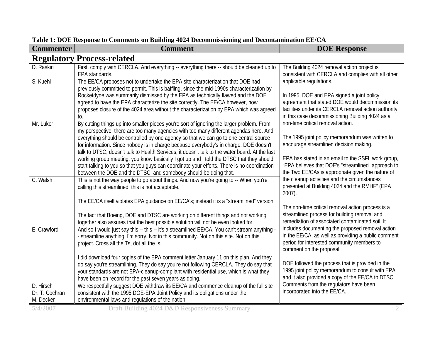| <b>Commenter</b>            | <b>Comment</b>                                                                                                                                                                            | <b>DOE Response</b>                                                                                      |
|-----------------------------|-------------------------------------------------------------------------------------------------------------------------------------------------------------------------------------------|----------------------------------------------------------------------------------------------------------|
|                             | <b>Regulatory Process-related</b>                                                                                                                                                         |                                                                                                          |
| D. Raskin                   | First, comply with CERCLA. And everything -- everything there -- should be cleaned up to<br>EPA standards.                                                                                | The Building 4024 removal action project is<br>consistent with CERCLA and complies with all other        |
| S. Kuehl                    | The EE/CA proposes not to undertake the EPA site characterization that DOE had<br>previously committed to permit. This is baffling, since the mid-1990s characterization by               | applicable regulations.                                                                                  |
|                             | Rocketdyne was summarily dismissed by the EPA as technically flawed and the DOE<br>agreed to have the EPA characterize the site correctly. The EE/CA however, now                         | In 1995, DOE and EPA signed a joint policy<br>agreement that stated DOE would decommission its           |
|                             | proposes closure of the 4024 area without the characterization by EPA which was agreed<br>to.                                                                                             | facilities under its CERCLA removal action authority,<br>in this case decommissioning Building 4024 as a |
| Mr. Luker                   | By cutting things up into smaller pieces you're sort of ignoring the larger problem. From<br>my perspective, there are too many agencies with too many different agendas here. And        | non-time critical removal action.                                                                        |
|                             | everything should be controlled by one agency so that we can go to one central source<br>for information. Since nobody is in charge because everybody's in charge, DOE doesn't            | The 1995 joint policy memorandum was written to<br>encourage streamlined decision making.                |
|                             | talk to DTSC, doesn't talk to Health Services, it doesn't talk to the water board. At the last<br>working group meeting, you know basically I got up and I told the DTSC that they should | EPA has stated in an email to the SSFL work group,<br>"EPA believes that DOE's "streamlined" approach to |
|                             | start talking to you so that you guys can coordinate your efforts. There is no coordination<br>between the DOE and the DTSC, and somebody should be doing that.                           | the Two EE/CAs is appropriate given the nature of                                                        |
| C. Walsh                    | This is not the way people to go about things. And now you're going to -- When you're<br>calling this streamlined, this is not acceptable.                                                | the cleanup activities and the circumstances<br>presented at Building 4024 and the RMHF" (EPA<br>2007).  |
|                             | The EE/CA itself violates EPA guidance on EE/CA's; instead it is a "streamlined" version.                                                                                                 | The non-time critical removal action process is a                                                        |
|                             | The fact that Boeing, DOE and DTSC are working on different things and not working<br>together also assures that the best possible solution will not be even looked for.                  | streamlined process for building removal and<br>remediation of associated contaminated soil. It          |
| E. Crawford                 | And so I would just say this -- this -- it's a streamlined EE/CA. You can't stream anything -<br>- streamline anything. I'm sorry. Not in this community. Not on this site. Not on this   | includes documenting the proposed removal action<br>in the EE/CA, as well as providing a public comment  |
|                             | project. Cross all the Ts, dot all the Is.                                                                                                                                                | period for interested community members to<br>comment on the proposal.                                   |
|                             | I did download four copies of the EPA comment letter January 11 on this plan. And they<br>do say you're streamlining. They do say you're not following CERCLA. They do say that           | DOE followed the process that is provided in the                                                         |
|                             | your standards are not EPA-cleanup-compliant with residential use, which is what they                                                                                                     | 1995 joint policy memorandum to consult with EPA                                                         |
|                             | have been on record for the past seven years as doing.                                                                                                                                    | and it also provided a copy of the EE/CA to DTSC.                                                        |
| D. Hirsch<br>Dr. T. Cochran | We respectfully suggest DOE withdraw its EE/CA and commence cleanup of the full site<br>consistent with the 1995 DOE-EPA Joint Policy and its obligations under the                       | Comments from the regulators have been<br>incorporated into the EE/CA.                                   |
| M. Decker                   | environmental laws and regulations of the nation.                                                                                                                                         |                                                                                                          |

**Table 1: DOE Response to Comments on Building 4024 Decommissioning and Decontamination EE/CA**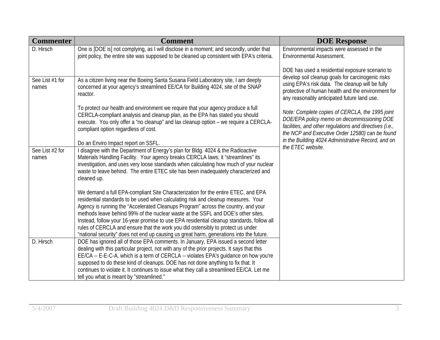| <b>Commenter</b>         | <b>Comment</b>                                                                                                                                                                                                                                                                                                                                                                                                                                                                                                                                                                                                             | <b>DOE Response</b>                                                                                                                                                                                         |
|--------------------------|----------------------------------------------------------------------------------------------------------------------------------------------------------------------------------------------------------------------------------------------------------------------------------------------------------------------------------------------------------------------------------------------------------------------------------------------------------------------------------------------------------------------------------------------------------------------------------------------------------------------------|-------------------------------------------------------------------------------------------------------------------------------------------------------------------------------------------------------------|
| D. Hirsch                | One is [DOE is] not complying, as I will disclose in a moment; and secondly, under that<br>joint policy, the entire site was supposed to be cleaned up consistent with EPA's criteria.                                                                                                                                                                                                                                                                                                                                                                                                                                     | Environmental impacts were assessed in the<br><b>Environmental Assessment.</b>                                                                                                                              |
|                          |                                                                                                                                                                                                                                                                                                                                                                                                                                                                                                                                                                                                                            | DOE has used a residential exposure scenario to<br>develop soil cleanup goals for carcinogenic risks                                                                                                        |
| See List #1 for<br>names | As a citizen living near the Boeing Santa Susana Field Laboratory site, I am deeply<br>concerned at your agency's streamlined EE/CA for Building 4024, site of the SNAP<br>reactor.                                                                                                                                                                                                                                                                                                                                                                                                                                        | using EPA's risk data. The cleanup will be fully<br>protective of human health and the environment for<br>any reasonably anticipated future land use.                                                       |
|                          | To protect our health and environment we require that your agency produce a full<br>CERCLA-compliant analysis and cleanup plan, as the EPA has stated you should<br>execute. You only offer a "no cleanup" and lax cleanup option - we require a CERCLA-<br>compliant option regardless of cost.                                                                                                                                                                                                                                                                                                                           | Note: Complete copies of CERCLA, the 1995 joint<br>DOE/EPA policy memo on decommissioning DOE<br>facilities, and other regulations and directives (i.e.,<br>the NCP and Executive Order 12580) can be found |
|                          | Do an Enviro Impact report on SSFL.                                                                                                                                                                                                                                                                                                                                                                                                                                                                                                                                                                                        | in the Building 4024 Administrative Record, and on<br>the ETEC website.                                                                                                                                     |
| See List #2 for<br>names | I disagree with the Department of Energy's plan for Bldg. 4024 & the Radioactive<br>Materials Handling Facility. Your agency breaks CERCLA laws; it "streamlines" its<br>investigation, and uses very loose standards when calculating how much of your nuclear<br>waste to leave behind. The entire ETEC site has been inadequately characterized and<br>cleaned up.                                                                                                                                                                                                                                                      |                                                                                                                                                                                                             |
|                          | We demand a full EPA-compliant Site Characterization for the entire ETEC, and EPA<br>residential standards to be used when calculating risk and cleanup measures. Your<br>Agency is running the "Accelerated Cleanups Program" across the country, and your<br>methods leave behind 99% of the nuclear waste at the SSFL and DOE's other sites.<br>Instead, follow your 16-year promise to use EPA residential cleanup standards, follow all<br>rules of CERCLA and ensure that the work you did ostensibly to protect us under<br>"national security" does not end up causing us great harm, generations into the future. |                                                                                                                                                                                                             |
| D. Hirsch                | DOE has ignored all of those EPA comments. In January, EPA issued a second letter<br>dealing with this particular project, not with any of the prior projects. It says that this<br>EE/CA -- E-E-C-A, which is a term of CERCLA -- violates EPA's guidance on how you're<br>supposed to do these kind of cleanups. DOE has not done anything to fix that. It<br>continues to violate it. It continues to issue what they call a streamlined EE/CA. Let me<br>tell you what is meant by "streamlined."                                                                                                                      |                                                                                                                                                                                                             |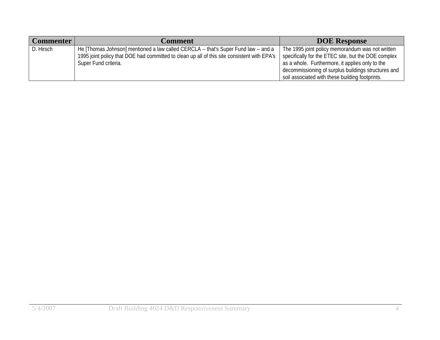| <b>Commenter</b> | <b>Comment</b>                                                                              | <b>DOE Response</b>                                 |
|------------------|---------------------------------------------------------------------------------------------|-----------------------------------------------------|
| D. Hirsch        | He [Thomas Johnson] mentioned a law called CERCLA -- that's Super Fund law -- and a         | The 1995 joint policy memorandum was not written    |
|                  | 1995 joint policy that DOE had committed to clean up all of this site consistent with EPA's | specifically for the ETEC site, but the DOE complex |
|                  | Super Fund criteria.                                                                        | as a whole. Furthermore, it applies only to the     |
|                  |                                                                                             | decommissioning of surplus buildings structures and |
|                  |                                                                                             | soil associated with these building footprints.     |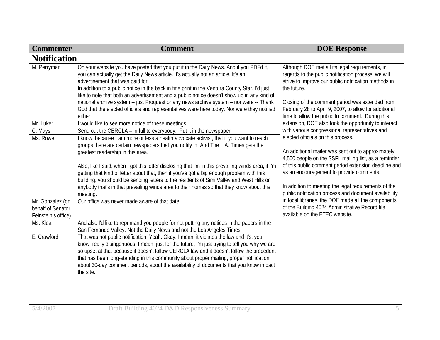| <b>Commenter</b>                                                                    | <b>Comment</b>                                                                                                                                                                                                                                                                                                                                                                                                                                                                                                                                                                                                                                                                                                                                        | <b>DOE Response</b>                                                                                                                                                                                                                                                                                                                                                                                                                                                                                                                                                 |
|-------------------------------------------------------------------------------------|-------------------------------------------------------------------------------------------------------------------------------------------------------------------------------------------------------------------------------------------------------------------------------------------------------------------------------------------------------------------------------------------------------------------------------------------------------------------------------------------------------------------------------------------------------------------------------------------------------------------------------------------------------------------------------------------------------------------------------------------------------|---------------------------------------------------------------------------------------------------------------------------------------------------------------------------------------------------------------------------------------------------------------------------------------------------------------------------------------------------------------------------------------------------------------------------------------------------------------------------------------------------------------------------------------------------------------------|
| <b>Notification</b>                                                                 |                                                                                                                                                                                                                                                                                                                                                                                                                                                                                                                                                                                                                                                                                                                                                       |                                                                                                                                                                                                                                                                                                                                                                                                                                                                                                                                                                     |
| M. Perryman                                                                         | On your website you have posted that you put it in the Daily News. And if you PDFd it,<br>you can actually get the Daily News article. It's actually not an article. It's an<br>advertisement that was paid for.<br>In addition to a public notice in the back in fine print in the Ventura County Star, I'd just<br>like to note that both an advertisement and a public notice doesn't show up in any kind of<br>national archive system -- just Proquest or any news archive system - nor were -- Thank<br>God that the elected officials and representatives were here today. Nor were they notified<br>either.                                                                                                                                   | Although DOE met all its legal requirements, in<br>regards to the public notification process, we will<br>strive to improve our public notification methods in<br>the future.<br>Closing of the comment period was extended from<br>February 28 to April 9, 2007, to allow for additional<br>time to allow the public to comment. During this                                                                                                                                                                                                                       |
| Mr. Luker                                                                           | I would like to see more notice of these meetings.                                                                                                                                                                                                                                                                                                                                                                                                                                                                                                                                                                                                                                                                                                    | extension, DOE also took the opportunity to interact                                                                                                                                                                                                                                                                                                                                                                                                                                                                                                                |
| C. Mays<br>Ms. Rowe<br>Mr. Gonzalez (on<br>behalf of Senator<br>Feinstein's office) | Send out the CERCLA – in full to everybody. Put it in the newspaper.<br>I know, because I am more or less a health advocate activist, that if you want to reach<br>groups there are certain newspapers that you notify in. And The L.A. Times gets the<br>greatest readership in this area.<br>Also, like I said, when I got this letter disclosing that I'm in this prevailing winds area, if I'm<br>getting that kind of letter about that, then if you've got a big enough problem with this<br>building, you should be sending letters to the residents of Simi Valley and West Hills or<br>anybody that's in that prevailing winds area to their homes so that they know about this<br>meeting.<br>Our office was never made aware of that date. | with various congressional representatives and<br>elected officials on this process.<br>An additional mailer was sent out to approximately<br>4,500 people on the SSFL mailing list, as a reminder<br>of this public comment period extension deadline and<br>as an encouragement to provide comments.<br>In addition to meeting the legal requirements of the<br>public notification process and document availability<br>in local libraries, the DOE made all the components<br>of the Building 4024 Administrative Record file<br>available on the ETEC website. |
| Ms. Klea                                                                            | And also I'd like to reprimand you people for not putting any notices in the papers in the<br>San Fernando Valley. Not the Daily News and not the Los Angeles Times.                                                                                                                                                                                                                                                                                                                                                                                                                                                                                                                                                                                  |                                                                                                                                                                                                                                                                                                                                                                                                                                                                                                                                                                     |
| E. Crawford                                                                         | That was not public notification. Yeah. Okay. I mean, it violates the law and it's, you<br>know, really disingenuous. I mean, just for the future, I'm just trying to tell you why we are<br>so upset at that because it doesn't follow CERCLA law and it doesn't follow the precedent<br>that has been long-standing in this community about proper mailing, proper notification<br>about 30-day comment periods, about the availability of documents that you know impact<br>the site.                                                                                                                                                                                                                                                              |                                                                                                                                                                                                                                                                                                                                                                                                                                                                                                                                                                     |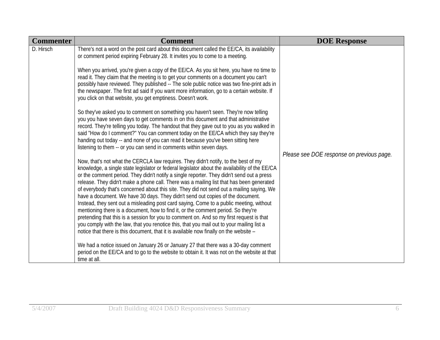| <b>Commenter</b> | <b>Comment</b>                                                                                                                                                                                                                                                                                                                                                                                                                                                                                                                                                                                                                                                                                                                                                                                                                                                                                                                                                                                                                                                                                                                                                                                                                                                                                                                                                                                                                                                                                                                                                                                                                                                                                                                                                                                                                                                                                                                                                                                                                                                                                                                                                                                                                                                                                                                                                                                 | <b>DOE Response</b>                       |
|------------------|------------------------------------------------------------------------------------------------------------------------------------------------------------------------------------------------------------------------------------------------------------------------------------------------------------------------------------------------------------------------------------------------------------------------------------------------------------------------------------------------------------------------------------------------------------------------------------------------------------------------------------------------------------------------------------------------------------------------------------------------------------------------------------------------------------------------------------------------------------------------------------------------------------------------------------------------------------------------------------------------------------------------------------------------------------------------------------------------------------------------------------------------------------------------------------------------------------------------------------------------------------------------------------------------------------------------------------------------------------------------------------------------------------------------------------------------------------------------------------------------------------------------------------------------------------------------------------------------------------------------------------------------------------------------------------------------------------------------------------------------------------------------------------------------------------------------------------------------------------------------------------------------------------------------------------------------------------------------------------------------------------------------------------------------------------------------------------------------------------------------------------------------------------------------------------------------------------------------------------------------------------------------------------------------------------------------------------------------------------------------------------------------|-------------------------------------------|
| D. Hirsch        | There's not a word on the post card about this document called the EE/CA, its availability<br>or comment period expiring February 28. It invites you to come to a meeting.<br>When you arrived, you're given a copy of the EE/CA. As you sit here, you have no time to<br>read it. They claim that the meeting is to get your comments on a document you can't<br>possibly have reviewed. They published -- The sole public notice was two fine-print ads in<br>the newspaper. The first ad said If you want more information, go to a certain website. If<br>you click on that website, you get emptiness. Doesn't work.<br>So they've asked you to comment on something you haven't seen. They're now telling<br>you you have seven days to get comments in on this document and that administrative<br>record. They're telling you today. The handout that they gave out to you as you walked in<br>said "How do I comment?" You can comment today on the EE/CA which they say they're<br>handing out today -- and none of you can read it because you've been sitting here<br>listening to them -- or you can send in comments within seven days.<br>Now, that's not what the CERCLA law requires. They didn't notify, to the best of my<br>knowledge, a single state legislator or federal legislator about the availability of the EE/CA<br>or the comment period. They didn't notify a single reporter. They didn't send out a press<br>release. They didn't make a phone call. There was a mailing list that has been generated<br>of everybody that's concerned about this site. They did not send out a mailing saying, We<br>have a document. We have 30 days. They didn't send out copies of the document.<br>Instead, they sent out a misleading post card saying, Come to a public meeting, without<br>mentioning there is a document, how to find it, or the comment period. So they're<br>pretending that this is a session for you to comment on. And so my first request is that<br>you comply with the law, that you renotice this, that you mail out to your mailing list a<br>notice that there is this document, that it is available now finally on the website -<br>We had a notice issued on January 26 or January 27 that there was a 30-day comment<br>period on the EE/CA and to go to the website to obtain it. It was not on the website at that<br>time at all. | Please see DOE response on previous page. |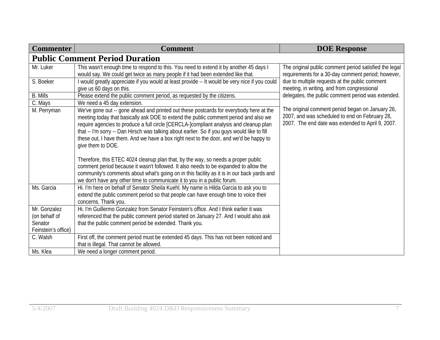| <b>Commenter</b>    | <b>Comment</b>                                                                                                                                                                                                                                                                                                                                                                                                                                                                          | <b>DOE Response</b>                                                                                                                                     |
|---------------------|-----------------------------------------------------------------------------------------------------------------------------------------------------------------------------------------------------------------------------------------------------------------------------------------------------------------------------------------------------------------------------------------------------------------------------------------------------------------------------------------|---------------------------------------------------------------------------------------------------------------------------------------------------------|
|                     | <b>Public Comment Period Duration</b>                                                                                                                                                                                                                                                                                                                                                                                                                                                   |                                                                                                                                                         |
| Mr. Luker           | This wasn't enough time to respond to this. You need to extend it by another 45 days I<br>would say. We could get twice as many people if it had been extended like that.                                                                                                                                                                                                                                                                                                               | The original public comment period satisfied the legal<br>requirements for a 30-day comment period; however,                                            |
| S. Boeker           | I would greatly appreciate if you would at least provide -- It would be very nice if you could<br>give us 60 days on this.                                                                                                                                                                                                                                                                                                                                                              | due to multiple requests at the public comment<br>meeting, in writing, and from congressional                                                           |
| <b>B.</b> Mills     | Please extend the public comment period, as requested by the citizens.                                                                                                                                                                                                                                                                                                                                                                                                                  | delegates, the public comment period was extended.                                                                                                      |
| C. Mays             | We need a 45 day extension.                                                                                                                                                                                                                                                                                                                                                                                                                                                             |                                                                                                                                                         |
| M. Perryman         | We've gone out -- gone ahead and printed out these postcards for everybody here at the<br>meeting today that basically ask DOE to extend the public comment period and also we<br>require agencies to produce a full circle [CERCLA-]compliant analysis and cleanup plan<br>that -- I'm sorry -- Dan Hirsch was talking about earlier. So if you guys would like to fill<br>these out, I have them. And we have a box right next to the door, and we'd be happy to<br>give them to DOE. | The original comment period began on January 26,<br>2007, and was scheduled to end on February 28,<br>2007. The end date was extended to April 9, 2007. |
|                     | Therefore, this ETEC 4024 cleanup plan that, by the way, so needs a proper public<br>comment period because it wasn't followed. It also needs to be expanded to allow the<br>community's comments about what's going on in this facility as it is in our back yards and<br>we don't have any other time to communicate it to you in a public forum.                                                                                                                                     |                                                                                                                                                         |
| Ms. Garcia          | Hi. I'm here on behalf of Senator Sheila Kuehl. My name is Hilda Garcia to ask you to<br>extend the public comment period so that people can have enough time to voice their<br>concerns. Thank you.                                                                                                                                                                                                                                                                                    |                                                                                                                                                         |
| Mr. Gonzalez        | Hi. I'm Guillermo Gonzalez from Senator Feinstein's office. And I think earlier it was                                                                                                                                                                                                                                                                                                                                                                                                  |                                                                                                                                                         |
| (on behalf of       | referenced that the public comment period started on January 27. And I would also ask                                                                                                                                                                                                                                                                                                                                                                                                   |                                                                                                                                                         |
| Senator             | that the public comment period be extended. Thank you.                                                                                                                                                                                                                                                                                                                                                                                                                                  |                                                                                                                                                         |
| Feinstein's office) |                                                                                                                                                                                                                                                                                                                                                                                                                                                                                         |                                                                                                                                                         |
| C. Walsh            | First off, the comment period must be extended 45 days. This has not been noticed and<br>that is illegal. That cannot be allowed.                                                                                                                                                                                                                                                                                                                                                       |                                                                                                                                                         |
| Ms. Klea            | We need a longer comment period.                                                                                                                                                                                                                                                                                                                                                                                                                                                        |                                                                                                                                                         |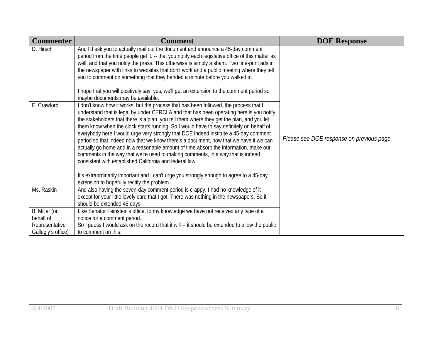| <b>Commenter</b>                     | <b>Comment</b>                                                                                                                                                                                                                                                                                                                                                                                                                                                                                                                                                                                                                                                                                         | <b>DOE Response</b>                       |
|--------------------------------------|--------------------------------------------------------------------------------------------------------------------------------------------------------------------------------------------------------------------------------------------------------------------------------------------------------------------------------------------------------------------------------------------------------------------------------------------------------------------------------------------------------------------------------------------------------------------------------------------------------------------------------------------------------------------------------------------------------|-------------------------------------------|
| D. Hirsch<br>E. Crawford             | And I'd ask you to actually mail out the document and announce a 45-day comment<br>period from the time people get it. -- that you notify each legislative office of this matter as<br>well, and that you notify the press. This otherwise is simply a sham. Two fine-print ads in<br>the newspaper with links to websites that don't work and a public meeting where they tell<br>you to comment on something that they handed a minute before you walked in.<br>I hope that you will positively say, yes, we'll get an extension to the comment period so<br>maybe documents may be available.<br>I don't know how it works, but the process that has been followed, the process that I              |                                           |
|                                      | understand that is legal by under CERCLA and that has been operating here is you notify<br>the stakeholders that there is a plan, you tell them where they get the plan, and you let<br>them know when the clock starts running. So I would have to say definitely on behalf of<br>everybody here I would urge very strongly that DOE indeed institute a 45-day comment<br>period so that indeed now that we know there's a document, now that we have it we can<br>actually go home and in a reasonable amount of time absorb the information, make our<br>comments in the way that we're used to making comments, in a way that is indeed<br>consistent with established California and federal law. | Please see DOE response on previous page. |
|                                      | It's extraordinarily important and I can't urge you strongly enough to agree to a 45-day<br>extension to hopefully rectify the problem.                                                                                                                                                                                                                                                                                                                                                                                                                                                                                                                                                                |                                           |
| Ms. Raskin                           | And also having the seven-day comment period is crappy. I had no knowledge of it<br>except for your little lovely card that I got. There was nothing in the newspapers. So it<br>should be extended 45 days.                                                                                                                                                                                                                                                                                                                                                                                                                                                                                           |                                           |
| B. Miller (on<br>behalf of           | Like Senator Feinstein's office, to my knowledge we have not received any type of a<br>notice for a comment period.                                                                                                                                                                                                                                                                                                                                                                                                                                                                                                                                                                                    |                                           |
| Representative<br>Gallegly's office) | So I guess I would ask on the record that it will -- it should be extended to allow the public<br>to comment on this.                                                                                                                                                                                                                                                                                                                                                                                                                                                                                                                                                                                  |                                           |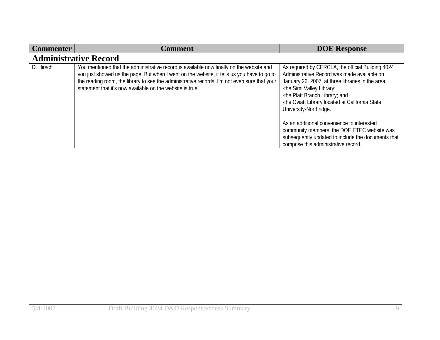| <b>Commenter</b> | Comment                                                                                                                                                                                                                                                                                                                                             | <b>DOE Response</b>                                                                                                                                                                                                                                                                                                                                                                            |
|------------------|-----------------------------------------------------------------------------------------------------------------------------------------------------------------------------------------------------------------------------------------------------------------------------------------------------------------------------------------------------|------------------------------------------------------------------------------------------------------------------------------------------------------------------------------------------------------------------------------------------------------------------------------------------------------------------------------------------------------------------------------------------------|
|                  | <b>Administrative Record</b>                                                                                                                                                                                                                                                                                                                        |                                                                                                                                                                                                                                                                                                                                                                                                |
| D. Hirsch        | You mentioned that the administrative record is available now finally on the website and<br>you just showed us the page. But when I went on the website, it tells us you have to go to<br>the reading room, the library to see the administrative records. I'm not even sure that your<br>statement that it's now available on the website is true. | As required by CERCLA, the official Building 4024<br>Administrative Record was made available on<br>January 26, 2007, at three libraries in the area:<br>-the Simi Valley Library;<br>-the Platt Branch Library; and<br>-the Oviatt Library located at California State<br>University-Northridge.<br>As an additional convenience to interested<br>community members, the DOE ETEC website was |
|                  |                                                                                                                                                                                                                                                                                                                                                     | subsequently updated to include the documents that<br>comprise this administrative record.                                                                                                                                                                                                                                                                                                     |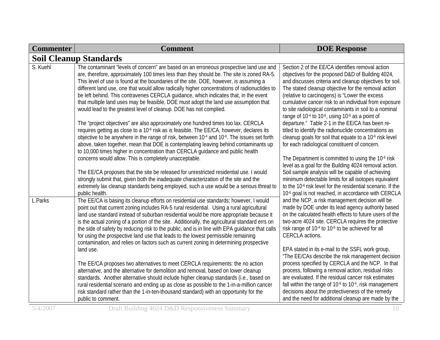| <b>Commenter</b> | <b>Comment</b>                                                                                                                                                                                                                                                                                                                                                                                                                                                                                                                                                                                                                                                                                                          | <b>DOE Response</b>                                                                                                                                                                                                                                                                                                                                                                                                                                                                                                                     |
|------------------|-------------------------------------------------------------------------------------------------------------------------------------------------------------------------------------------------------------------------------------------------------------------------------------------------------------------------------------------------------------------------------------------------------------------------------------------------------------------------------------------------------------------------------------------------------------------------------------------------------------------------------------------------------------------------------------------------------------------------|-----------------------------------------------------------------------------------------------------------------------------------------------------------------------------------------------------------------------------------------------------------------------------------------------------------------------------------------------------------------------------------------------------------------------------------------------------------------------------------------------------------------------------------------|
|                  | <b>Soil Cleanup Standards</b>                                                                                                                                                                                                                                                                                                                                                                                                                                                                                                                                                                                                                                                                                           |                                                                                                                                                                                                                                                                                                                                                                                                                                                                                                                                         |
| S. Kuehl         | The contaminant "levels of concern" are based on an erroneous prospective land use and<br>are, therefore, approximately 100 times less than they should be. The site is zoned RA-5.<br>This level of use is found at the boundaries of the site. DOE, however, is assuming a<br>different land use, one that would allow radically higher concentrations of radionuclides to<br>be left behind. This contravenes CERCLA guidance, which indicates that, in the event<br>that multiple land uses may be feasible, DOE must adopt the land use assumption that<br>would lead to the greatest level of cleanup. DOE has not complied.<br>The "project objectives" are also approximately one hundred times too lax. CERCLA | Section 2 of the EE/CA identifies removal action<br>objectives for the proposed D&D of Building 4024,<br>and discusses criteria and cleanup objectives for soil.<br>The stated cleanup objective for the removal action<br>(relative to carcinogens) is "Lower the excess<br>cumulative cancer risk to an individual from exposure<br>to site radiological contaminants in soil to a nominal<br>range of 10 <sup>-4</sup> to 10 <sup>-6</sup> , using 10 <sup>-6</sup> as a point of<br>departure." Table 2-1 in the EE/CA has been re- |
|                  | requires getting as close to a 10 <sup>-6</sup> risk as is feasible. The EE/CA, however, declares its<br>objective to be anywhere in the range of risk, between 10 <sup>-4</sup> and 10 <sup>-6</sup> . The issues set forth<br>above, taken together, mean that DOE is contemplating leaving behind contaminants up<br>to 10,000 times higher in concentration than CERCLA guidance and public health<br>concerns would allow. This is completely unacceptable.                                                                                                                                                                                                                                                        | titled to identify the radionuclide concentrations as<br>cleanup goals for soil that equate to a 10 <sup>-6</sup> risk level<br>for each radiological constituent of concern.<br>The Department is committed to using the 10 <sup>-6</sup> risk<br>level as a goal for the Building 4024 removal action.                                                                                                                                                                                                                                |
|                  | The EE/CA proposes that the site be released for unrestricted residential use. I would<br>strongly submit that, given both the inadequate characterization of the site and the<br>extremely lax cleanup standards being employed, such a use would be a serious threat to<br>public health.                                                                                                                                                                                                                                                                                                                                                                                                                             | Soil sample analysis will be capable of achieving<br>minimum detectable limits for all isotopes equivalent<br>to the 10 <sup>-6</sup> risk level for the residential scenario. If the<br>10 <sup>-6</sup> goal is not reached, in accordance with CERCLA                                                                                                                                                                                                                                                                                |
| L.Parks          | The EE/CA is basing its cleanup efforts on residential use standards; however, I would<br>point out that current zoning includes RA-5 rural residential. Using a rural agricultural<br>land use standard instead of suburban residential would be more appropriate because it<br>is the actual zoning of a portion of the site. Additionally, the agricultural standard errs on<br>the side of safety by reducing risk to the public, and is in line with EPA guidance that calls<br>for using the prospective land use that leads to the lowest permissible remaining<br>contamination, and relies on factors such as current zoning in determining prospective                                                        | and the NCP, a risk management decision will be<br>made by DOE under its lead agency authority based<br>on the calculated health effects to future users of the<br>two-acre 4024 site. CERCLA requires the protective<br>risk range of 10 <sup>-4</sup> to 10 <sup>-6</sup> to be achieved for all<br>CERCLA actions.                                                                                                                                                                                                                   |
|                  | land use.<br>The EE/CA proposes two alternatives to meet CERCLA requirements: the no action<br>alternative, and the alternative for demolition and removal, based on lower cleanup<br>standards. Another alternative should include higher cleanup standards (i.e., based on<br>rural residential scenario and ending up as close as possible to the 1-in-a-million cancer<br>risk standard rather than the 1-in-ten-thousand standard) with an opportunity for the<br>public to comment.                                                                                                                                                                                                                               | EPA stated in its e-mail to the SSFL work group,<br>"The EE/CAs describe the risk management decision<br>process specified by CERCLA and the NCP. In that<br>process, following a removal action, residual risks<br>are evaluated. If the residual cancer risk estimates<br>fall within the range of 10 <sup>-6</sup> to 10 <sup>-4</sup> , risk management<br>decisions about the protectiveness of the remedy<br>and the need for additional cleanup are made by the                                                                  |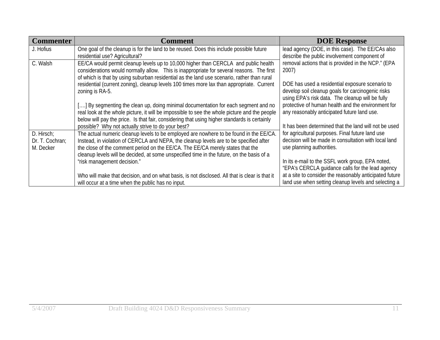| <b>Commenter</b>                           | Comment                                                                                                                                                                                                                                                                                                                                                         | <b>DOE Response</b>                                                                                                                                      |
|--------------------------------------------|-----------------------------------------------------------------------------------------------------------------------------------------------------------------------------------------------------------------------------------------------------------------------------------------------------------------------------------------------------------------|----------------------------------------------------------------------------------------------------------------------------------------------------------|
| J. Hofius                                  | One goal of the cleanup is for the land to be reused. Does this include possible future<br>residential use? Agricultural?                                                                                                                                                                                                                                       | lead agency (DOE, in this case). The EE/CAs also<br>describe the public involvement component of                                                         |
| C. Walsh                                   | EE/CA would permit cleanup levels up to 10,000 higher than CERCLA and public health<br>considerations would normally allow. This is inappropriate for several reasons. The first<br>of which is that by using suburban residential as the land use scenario, rather than rural                                                                                  | removal actions that is provided in the NCP." (EPA<br>2007)                                                                                              |
|                                            | residential (current zoning), cleanup levels 100 times more lax than appropriate. Current<br>zoning is RA-5.                                                                                                                                                                                                                                                    | DOE has used a residential exposure scenario to<br>develop soil cleanup goals for carcinogenic risks<br>using EPA's risk data. The cleanup will be fully |
|                                            | [] By segmenting the clean up, doing minimal documentation for each segment and no<br>real look at the whole picture, it will be impossible to see the whole picture and the people<br>below will pay the price. Is that fair, considering that using higher standards is certainly                                                                             | protective of human health and the environment for<br>any reasonably anticipated future land use.                                                        |
|                                            | possible? Why not actually strive to do your best?                                                                                                                                                                                                                                                                                                              | It has been determined that the land will not be used                                                                                                    |
| D. Hirsch:<br>Dr. T. Cochran;<br>M. Decker | The actual numeric cleanup levels to be employed are nowhere to be found in the EE/CA.<br>Instead, in violation of CERCLA and NEPA, the cleanup levels are to be specified after<br>the close of the comment period on the EE/CA. The EE/CA merely states that the<br>cleanup levels will be decided, at some unspecified time in the future, on the basis of a | for agricultural purposes. Final future land use<br>decision will be made in consultation with local land<br>use planning authorities.                   |
|                                            | "risk management decision."                                                                                                                                                                                                                                                                                                                                     | In its e-mail to the SSFL work group, EPA noted,<br>"EPA's CERCLA quidance calls for the lead agency                                                     |
|                                            | Who will make that decision, and on what basis, is not disclosed. All that is clear is that it<br>will occur at a time when the public has no input.                                                                                                                                                                                                            | at a site to consider the reasonably anticipated future<br>land use when setting cleanup levels and selecting a                                          |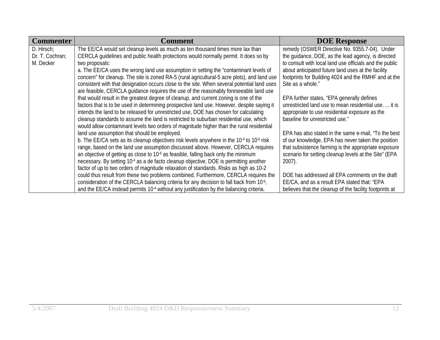| <b>Commenter</b> | <b>Comment</b>                                                                                                    | <b>DOE Response</b>                                     |
|------------------|-------------------------------------------------------------------------------------------------------------------|---------------------------------------------------------|
| D. Hirsch;       | The EE/CA would set cleanup levels as much as ten thousand times more lax than                                    | remedy (OSWER Directive No. 9355.7-04). Under           |
| Dr. T. Cochran;  | CERCLA quidelines and public health protections would normally permit. It does so by                              | the quidance, DOE, as the lead agency, is directed      |
| M. Decker        | two proposals:                                                                                                    | to consult with local land use officials and the public |
|                  | a. The EE/CA uses the wrong land use assumption in setting the "contaminant levels of                             | about anticipated future land uses at the facility      |
|                  | concern" for cleanup. The site is zoned RA-5 (rural agricultural-5 acre plots), and land use                      | footprints for Building 4024 and the RMHF and at the    |
|                  | consistent with that designation occurs close to the site. When several potential land uses                       | Site as a whole."                                       |
|                  | are feasible, CERCLA quidance requires the use of the reasonably foreseeable land use                             |                                                         |
|                  | that would result in the greatest degree of cleanup, and current zoning is one of the                             | EPA further states, "EPA generally defines              |
|                  | factors that is to be used in determining prospective land use. However, despite saying it                        | unrestricted land use to mean residential use.  it is   |
|                  | intends the land to be released for unrestricted use, DOE has chosen for calculating                              | appropriate to use residential exposure as the          |
|                  | cleanup standards to assume the land is restricted to suburban residential use, which                             | baseline for unrestricted use."                         |
|                  | would allow contaminant levels two orders of magnitude higher than the rural residential                          |                                                         |
|                  | land use assumption that should be employed.                                                                      | EPA has also stated in the same e-mail, "To the best    |
|                  | b. The EE/CA sets as its cleanup objectives risk levels anywhere in the 10 <sup>-4</sup> to 10 <sup>-6</sup> risk | of our knowledge, EPA has never taken the position      |
|                  | range, based on the land use assumption discussed above. However, CERCLA requires                                 | that subsistence farming is the appropriate exposure    |
|                  | an objective of getting as close to 10 <sup>-6</sup> as feasible, falling back only the minimum                   | scenario for setting cleanup levels at the Site" (EPA   |
|                  | necessary. By setting 10 <sup>-4</sup> as a de facto cleanup objective, DOE is permitting another                 | $2007$ ).                                               |
|                  | factor of up to two orders of magnitude relaxation of standards. Risks as high as 10-2                            |                                                         |
|                  | could thus result from these two problems combined. Furthermore, CERCLA requires the                              | DOE has addressed all EPA comments on the draft         |
|                  | consideration of the CERCLA balancing criteria for any decision to fall back from 10 <sup>-6</sup> ,              | EE/CA, and as a result EPA stated that: "EPA            |
|                  | and the EE/CA instead permits 10 <sup>-4</sup> without any justification by the balancing criteria.               | believes that the cleanup of the facility footprints at |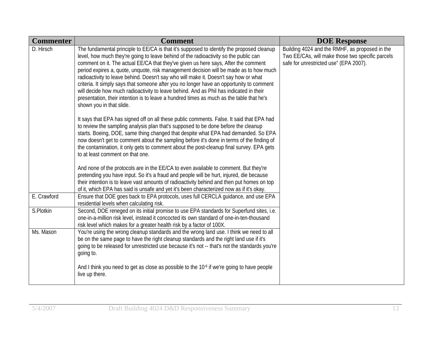| <b>Commenter</b> | <b>Comment</b>                                                                                                                                                                                                                                                                                                                                                                                                                                                                                                                                                                                                                                                                                                                                                          | <b>DOE Response</b>                                                                                                                          |
|------------------|-------------------------------------------------------------------------------------------------------------------------------------------------------------------------------------------------------------------------------------------------------------------------------------------------------------------------------------------------------------------------------------------------------------------------------------------------------------------------------------------------------------------------------------------------------------------------------------------------------------------------------------------------------------------------------------------------------------------------------------------------------------------------|----------------------------------------------------------------------------------------------------------------------------------------------|
| D. Hirsch        | The fundamental principle to EE/CA is that it's supposed to identify the proposed cleanup<br>level, how much they're going to leave behind of the radioactivity so the public can<br>comment on it. The actual EE/CA that they've given us here says, After the comment<br>period expires a, quote, unquote, risk management decision will be made as to how much<br>radioactivity to leave behind. Doesn't say who will make it. Doesn't say how or what<br>criteria. It simply says that someone after you no longer have an opportunity to comment<br>will decide how much radioactivity to leave behind. And as Phil has indicated in their<br>presentation, their intention is to leave a hundred times as much as the table that he's<br>shown you in that slide. | Building 4024 and the RMHF, as proposed in the<br>Two EE/CAs, will make those two specific parcels<br>safe for unrestricted use" (EPA 2007). |
|                  | It says that EPA has signed off on all these public comments. False. It said that EPA had<br>to review the sampling analysis plan that's supposed to be done before the cleanup<br>starts. Boeing, DOE, same thing changed that despite what EPA had demanded. So EPA<br>now doesn't get to comment about the sampling before it's done in terms of the finding of<br>the contamination, it only gets to comment about the post-cleanup final survey. EPA gets<br>to at least comment on that one.                                                                                                                                                                                                                                                                      |                                                                                                                                              |
|                  | And none of the protocols are in the EE/CA to even available to comment. But they're<br>pretending you have input. So it's a fraud and people will be hurt, injured, die because<br>their intention is to leave vast amounts of radioactivity behind and then put homes on top<br>of it, which EPA has said is unsafe and yet it's been characterized now as if it's okay.                                                                                                                                                                                                                                                                                                                                                                                              |                                                                                                                                              |
| E. Crawford      | Ensure that DOE goes back to EPA protocols, uses full CERCLA quidance, and use EPA<br>residential levels when calculating risk.                                                                                                                                                                                                                                                                                                                                                                                                                                                                                                                                                                                                                                         |                                                                                                                                              |
| S.Plotkin        | Second, DOE reneged on its initial promise to use EPA standards for Superfund sites, i.e.<br>one-in-a-million risk level, instead it concocted its own standard of one-in-ten-thousand<br>risk level which makes for a greater health risk by a factor of 100X.                                                                                                                                                                                                                                                                                                                                                                                                                                                                                                         |                                                                                                                                              |
| Ms. Mason        | You're using the wrong cleanup standards and the wrong land use. I think we need to all<br>be on the same page to have the right cleanup standards and the right land use if it's<br>going to be released for unrestricted use because it's not -- that's not the standards you're<br>going to.                                                                                                                                                                                                                                                                                                                                                                                                                                                                         |                                                                                                                                              |
|                  | And I think you need to get as close as possible to the 10 <sup>-6</sup> if we're going to have people<br>live up there.                                                                                                                                                                                                                                                                                                                                                                                                                                                                                                                                                                                                                                                |                                                                                                                                              |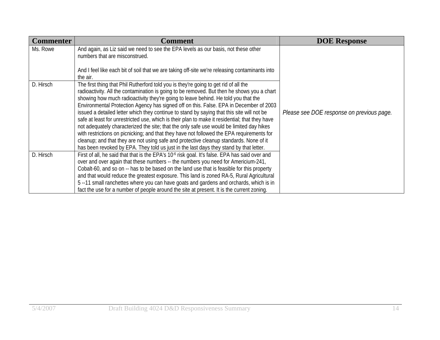| <b>Commenter</b> | <b>Comment</b>                                                                                                                                                                                                                                                                                                                                                                                                                                                                                                                                                                                                                                                                                                                                                                                                                                                                                                                                  | <b>DOE Response</b>                       |
|------------------|-------------------------------------------------------------------------------------------------------------------------------------------------------------------------------------------------------------------------------------------------------------------------------------------------------------------------------------------------------------------------------------------------------------------------------------------------------------------------------------------------------------------------------------------------------------------------------------------------------------------------------------------------------------------------------------------------------------------------------------------------------------------------------------------------------------------------------------------------------------------------------------------------------------------------------------------------|-------------------------------------------|
| Ms. Rowe         | And again, as Liz said we need to see the EPA levels as our basis, not these other<br>numbers that are misconstrued.                                                                                                                                                                                                                                                                                                                                                                                                                                                                                                                                                                                                                                                                                                                                                                                                                            |                                           |
|                  | And I feel like each bit of soil that we are taking off-site we're releasing contaminants into<br>the air.                                                                                                                                                                                                                                                                                                                                                                                                                                                                                                                                                                                                                                                                                                                                                                                                                                      |                                           |
| D. Hirsch        | The first thing that Phil Rutherford told you is they're going to get rid of all the<br>radioactivity. All the contamination is going to be removed. But then he shows you a chart<br>showing how much radioactivity they're going to leave behind. He told you that the<br>Environmental Protection Agency has signed off on this. False. EPA in December of 2003<br>issued a detailed letter which they continue to stand by saying that this site will not be<br>safe at least for unrestricted use, which is their plan to make it residential; that they have<br>not adequately characterized the site; that the only safe use would be limited day hikes<br>with restrictions on picnicking; and that they have not followed the EPA requirements for<br>cleanup; and that they are not using safe and protective cleanup standards. None of it<br>has been revoked by EPA. They told us just in the last days they stand by that letter. | Please see DOE response on previous page. |
| D. Hirsch        | First of all, he said that that is the EPA's 10 <sup>-6</sup> risk goal. It's false. EPA has said over and<br>over and over again that these numbers -- the numbers you need for Americium-241,<br>Cobalt-60, and so on -- has to be based on the land use that is feasible for this property<br>and that would reduce the greatest exposure. This land is zoned RA-5, Rural Agricultural<br>5--11 small ranchettes where you can have goats and gardens and orchards, which is in<br>fact the use for a number of people around the site at present. It is the current zoning.                                                                                                                                                                                                                                                                                                                                                                 |                                           |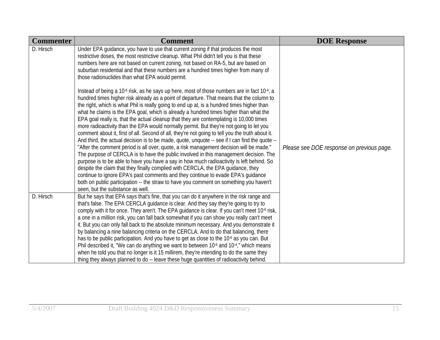| <b>Commenter</b> | <b>Comment</b>                                                                                                                                                                                                                                                                                                                                                                                                                                                                                                                                                                                                                                                                                                                                                                                                                                                                                                                                                                                                                                                                                                                                                                                                                                                     | <b>DOE Response</b>                       |
|------------------|--------------------------------------------------------------------------------------------------------------------------------------------------------------------------------------------------------------------------------------------------------------------------------------------------------------------------------------------------------------------------------------------------------------------------------------------------------------------------------------------------------------------------------------------------------------------------------------------------------------------------------------------------------------------------------------------------------------------------------------------------------------------------------------------------------------------------------------------------------------------------------------------------------------------------------------------------------------------------------------------------------------------------------------------------------------------------------------------------------------------------------------------------------------------------------------------------------------------------------------------------------------------|-------------------------------------------|
| D. Hirsch        | Under EPA guidance, you have to use that current zoning if that produces the most<br>restrictive doses, the most restrictive cleanup. What Phil didn't tell you is that these<br>numbers here are not based on current zoning, not based on RA-5, but are based on<br>suburban residential and that these numbers are a hundred times higher from many of<br>those radionuclides than what EPA would permit.<br>Instead of being a 10 <sup>-6</sup> risk, as he says up here, most of those numbers are in fact 10 <sup>-4</sup> , a                                                                                                                                                                                                                                                                                                                                                                                                                                                                                                                                                                                                                                                                                                                               |                                           |
|                  | hundred times higher risk already as a point of departure. That means that the column to<br>the right, which is what Phil is really going to end up at, is a hundred times higher than<br>what he claims is the EPA goal, which is already a hundred times higher than what the<br>EPA goal really is, that the actual cleanup that they are contemplating is 10,000 times<br>more radioactivity than the EPA would normally permit. But they're not going to let you<br>comment about it, first of all. Second of all, they're not going to tell you the truth about it.<br>And third, the actual decision is to be made, quote, unquote -- see if I can find the quote --<br>"After the comment period is all over, quote, a risk management decision will be made."<br>The purpose of CERCLA is to have the public involved in this management decision. The<br>purpose is to be able to have you have a say in how much radioactivity is left behind. So<br>despite the claim that they finally complied with CERCLA, the EPA guidance, they<br>continue to ignore EPA's past comments and they continue to evade EPA's guidance<br>both on public participation -- the straw to have you comment on something you haven't<br>seen, but the substance as well. | Please see DOE response on previous page. |
| D. Hirsch        | But he says that EPA says that's fine, that you can do it anywhere in the risk range and<br>that's false. The EPA CERCLA quidance is clear. And they say they're going to try to<br>comply with it for once. They aren't. The EPA guidance is clear. If you can't meet 10 <sup>-6</sup> risk,<br>a one in a million risk, you can fall back somewhat if you can show you really can't meet<br>it. But you can only fall back to the absolute minimum necessary. And you demonstrate it<br>by balancing a nine balancing criteria on the CERCLA. And to do that balancing, there<br>has to be public participation. And you have to get as close to the 10 <sup>-6</sup> as you can. But<br>Phil described it, "We can do anything we want to between 10 <sup>-6</sup> and 10 <sup>-4</sup> ," which means<br>when he told you that no longer is it 15 millirem, they're intending to do the same they                                                                                                                                                                                                                                                                                                                                                              |                                           |
|                  | thing they always planned to do -- leave these huge quantities of radioactivity behind.                                                                                                                                                                                                                                                                                                                                                                                                                                                                                                                                                                                                                                                                                                                                                                                                                                                                                                                                                                                                                                                                                                                                                                            |                                           |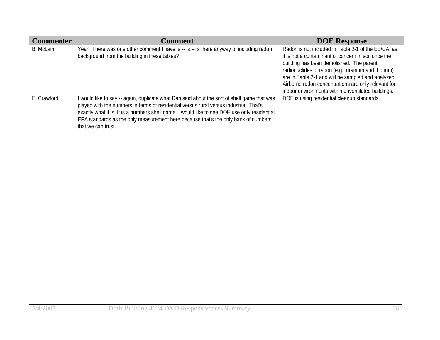| <b>Commenter</b> | <b>Comment</b>                                                                                                                                                                                                                                                                                                                                                                                    | <b>DOE Response</b>                                                                                                                                                                                                                                                                                                                                                             |
|------------------|---------------------------------------------------------------------------------------------------------------------------------------------------------------------------------------------------------------------------------------------------------------------------------------------------------------------------------------------------------------------------------------------------|---------------------------------------------------------------------------------------------------------------------------------------------------------------------------------------------------------------------------------------------------------------------------------------------------------------------------------------------------------------------------------|
| B. McLain        | Yeah. There was one other comment I have is -- is -- is there anyway of including radon<br>background from the building in these tables?                                                                                                                                                                                                                                                          | Radon is not included in Table 2-1 of the EE/CA, as<br>it is not a contaminant of concern in soil once the<br>building has been demolished. The parent<br>radionuclides of radon (e.g., uranium and thorium)<br>are in Table 2-1 and will be sampled and analyzed.<br>Airborne radon concentrations are only relevant for<br>indoor environments within unventilated buildings. |
| E. Crawford      | I would like to say -- again, duplicate what Dan said about the sort of shell game that was<br>played with the numbers in terms of residential versus rural versus industrial. That's<br>exactly what it is. It is a numbers shell game. I would like to see DOE use only residential<br>EPA standards as the only measurement here because that's the only bank of numbers<br>that we can trust. | DOE is using residential cleanup standards.                                                                                                                                                                                                                                                                                                                                     |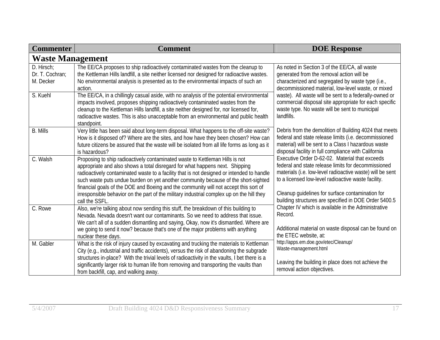| <b>Commenter</b>                           | <b>Comment</b>                                                                                                                                                                                                                                                                                                                                                                                                                          | <b>DOE Response</b>                                                                                                                                                                                                            |
|--------------------------------------------|-----------------------------------------------------------------------------------------------------------------------------------------------------------------------------------------------------------------------------------------------------------------------------------------------------------------------------------------------------------------------------------------------------------------------------------------|--------------------------------------------------------------------------------------------------------------------------------------------------------------------------------------------------------------------------------|
| <b>Waste Management</b>                    |                                                                                                                                                                                                                                                                                                                                                                                                                                         |                                                                                                                                                                                                                                |
| D. Hirsch:<br>Dr. T. Cochran;<br>M. Decker | The EE/CA proposes to ship radioactively contaminated wastes from the cleanup to<br>the Kettleman Hills landfill, a site neither licensed nor designed for radioactive wastes.<br>No environmental analysis is presented as to the environmental impacts of such an<br>action.                                                                                                                                                          | As noted in Section 3 of the EE/CA, all waste<br>generated from the removal action will be<br>characterized and segregated by waste type (i.e.,<br>decommissioned material, low-level waste, or mixed                          |
| S. Kuehl                                   | The EE/CA, in a chillingly casual aside, with no analysis of the potential environmental<br>impacts involved, proposes shipping radioactively contaminated wastes from the<br>cleanup to the Kettleman Hills landfill, a site neither designed for, nor licensed for,<br>radioactive wastes. This is also unacceptable from an environmental and public health<br>standpoint.                                                           | waste). All waste will be sent to a federally-owned or<br>commercial disposal site appropriate for each specific<br>waste type. No waste will be sent to municipal<br>landfills.                                               |
| <b>B.</b> Mills                            | Very little has been said about long-term disposal. What happens to the off-site waste?<br>How is it disposed of? Where are the sites, and how have they been chosen? How can<br>future citizens be assured that the waste will be isolated from all life forms as long as it<br>is hazardous?                                                                                                                                          | Debris from the demolition of Building 4024 that meets<br>federal and state release limits (i.e. decommissioned<br>material) will be sent to a Class I hazardous waste<br>disposal facility in full compliance with California |
| C. Walsh                                   | Proposing to ship radioactively contaminated waste to Kettleman Hills is not<br>appropriate and also shows a total disregard for what happens next. Shipping<br>radioactively contaminated waste to a facility that is not designed or intended to handle<br>such waste puts undue burden on yet another community because of the short-sighted<br>financial goals of the DOE and Boeing and the community will not accept this sort of | Executive Order D-62-02. Material that exceeds<br>federal and state release limits for decommissioned<br>materials (i.e. low-level radioactive waste) will be sent<br>to a licensed low-level radioactive waste facility.      |
|                                            | irresponsible behavior on the part of the military industrial complex up on the hill they<br>call the SSFL.                                                                                                                                                                                                                                                                                                                             | Cleanup guidelines for surface contamination for<br>building structures are specified in DOE Order 5400.5                                                                                                                      |
| C. Rowe                                    | Also, we're talking about now sending this stuff, the breakdown of this building to<br>Nevada. Nevada doesn't want our contaminants. So we need to address that issue.<br>We can't all of a sudden dismantling and saying, Okay, now it's dismantled. Where are<br>we going to send it now? because that's one of the major problems with anything                                                                                      | Chapter IV which is available in the Administrative<br>Record.<br>Additional material on waste disposal can be found on                                                                                                        |
| M. Gabler                                  | nuclear these days.<br>What is the risk of injury caused by excavating and trucking the materials to Kettleman<br>City (e.g., industrial and traffic accidents), versus the risk of abandoning the subgrade                                                                                                                                                                                                                             | the ETEC website, at:<br>http://apps.em.doe.gov/etec/Cleanup/<br>Waste-management.html                                                                                                                                         |
|                                            | structures in-place? With the trivial levels of radioactivity in the vaults, I bet there is a<br>significantly larger risk to human life from removing and transporting the vaults than<br>from backfill, cap, and walking away.                                                                                                                                                                                                        | Leaving the building in place does not achieve the<br>removal action objectives.                                                                                                                                               |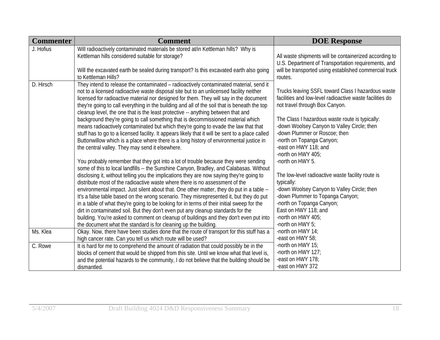| <b>Commenter</b> | <b>Comment</b>                                                                                                                                                                                                                                                                                                                                                                                                                                                                                                                                                                                                                                                                                                                                                                                                                                                                                                      | <b>DOE Response</b>                                                                                                                                                                                                                                                                                                                                                        |
|------------------|---------------------------------------------------------------------------------------------------------------------------------------------------------------------------------------------------------------------------------------------------------------------------------------------------------------------------------------------------------------------------------------------------------------------------------------------------------------------------------------------------------------------------------------------------------------------------------------------------------------------------------------------------------------------------------------------------------------------------------------------------------------------------------------------------------------------------------------------------------------------------------------------------------------------|----------------------------------------------------------------------------------------------------------------------------------------------------------------------------------------------------------------------------------------------------------------------------------------------------------------------------------------------------------------------------|
| J. Hofius        | Will radioactively contaminated materials be stored at/in Kettleman hills? Why is<br>Kettleman hills considered suitable for storage?<br>Will the excavated earth be sealed during transport? Is this excavated earth also going                                                                                                                                                                                                                                                                                                                                                                                                                                                                                                                                                                                                                                                                                    | All waste shipments will be containerized according to<br>U.S. Department of Transportation requirements, and<br>will be transported using established commercial truck                                                                                                                                                                                                    |
| D. Hirsch        | to Kettleman Hills?<br>They intend to release the contaminated - radioactively contaminated material, send it<br>not to a licensed radioactive waste disposal site but to an unlicensed facility neither<br>licensed for radioactive material nor designed for them. They will say in the document<br>they're going to call everything in the building and all of the soil that is beneath the top<br>cleanup level, the one that is the least protective -- anything between that and<br>background they're going to call something that is decommissioned material which<br>means radioactively contaminated but which they're going to evade the law that that<br>stuff has to go to a licensed facility. It appears likely that it will be sent to a place called<br>Buttonwillow which is a place where there is a long history of environmental justice in<br>the central valley. They may send it elsewhere. | routes.<br>Trucks leaving SSFL toward Class I hazardous waste<br>facilities and low-level radioactive waste facilities do<br>not travel through Box Canyon.<br>The Class I hazardous waste route is typically:<br>-down Woolsey Canyon to Valley Circle; then<br>-down Plummer or Roscoe; then<br>-north on Topanga Canyon;<br>-east on HWY 118; and<br>-north on HWY 405; |
|                  | You probably remember that they got into a lot of trouble because they were sending<br>some of this to local landfills -- the Sunshine Canyon, Bradley, and Calabasas. Without<br>disclosing it, without telling you the implications they are now saying they're going to<br>distribute most of the radioactive waste where there is no assessment of the<br>environmental impact. Just silent about that. One other matter, they do put in a table --<br>It's a false table based on the wrong scenario. They misrepresented it, but they do put<br>in a table of what they're going to be looking for in terms of their initial sweep for the<br>dirt in contaminated soil. But they don't even put any cleanup standards for the<br>building. You're asked to comment on cleanup of buildings and they don't even put into<br>the document what the standard is for cleaning up the building.                   | -north on HWY 5.<br>The low-level radioactive waste facility route is<br>typically:<br>-down Woolsey Canyon to Valley Circle; then<br>-down Plummer to Topanga Canyon;<br>-north on Topanga Canyon;<br>East on HWY 118; and<br>-north on HWY 405;<br>-north on HWY 5;                                                                                                      |
| Ms. Klea         | Okay. Now, there have been studies done that the route of transport for this stuff has a<br>high cancer rate. Can you tell us which route will be used?                                                                                                                                                                                                                                                                                                                                                                                                                                                                                                                                                                                                                                                                                                                                                             | -north on HWY 14;<br>-east on HWY 58;                                                                                                                                                                                                                                                                                                                                      |
| C. Rowe          | It is hard for me to comprehend the amount of radiation that could possibly be in the<br>blocks of cement that would be shipped from this site. Until we know what that level is,<br>and the potential hazards to the community, I do not believe that the building should be<br>dismantled.                                                                                                                                                                                                                                                                                                                                                                                                                                                                                                                                                                                                                        | -north on HWY 15;<br>-north on HWY 127;<br>-east on HWY 178;<br>-east on HWY 372                                                                                                                                                                                                                                                                                           |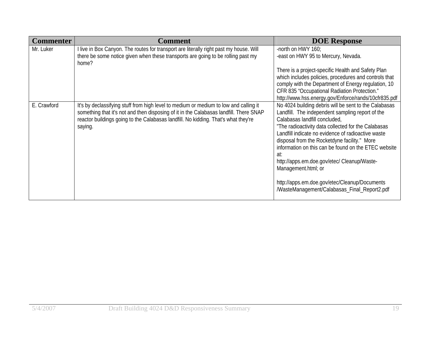| <b>Commenter</b> | Comment                                                                                                                                                                                                                                                                          | <b>DOE Response</b>                                                                                                                                                                                                                                                                                                                                                                                                                                                                                                                           |
|------------------|----------------------------------------------------------------------------------------------------------------------------------------------------------------------------------------------------------------------------------------------------------------------------------|-----------------------------------------------------------------------------------------------------------------------------------------------------------------------------------------------------------------------------------------------------------------------------------------------------------------------------------------------------------------------------------------------------------------------------------------------------------------------------------------------------------------------------------------------|
| Mr. Luker        | I live in Box Canyon. The routes for transport are literally right past my house. Will<br>there be some notice given when these transports are going to be rolling past my<br>home?                                                                                              | -north on HWY 160;<br>-east on HWY 95 to Mercury, Nevada.                                                                                                                                                                                                                                                                                                                                                                                                                                                                                     |
|                  |                                                                                                                                                                                                                                                                                  | There is a project-specific Health and Safety Plan<br>which includes policies, procedures and controls that<br>comply with the Department of Energy regulation, 10                                                                                                                                                                                                                                                                                                                                                                            |
|                  |                                                                                                                                                                                                                                                                                  | CFR 835 "Occupational Radiation Protection."<br>http://www.hss.energy.gov/Enforce/rands/10cfr835.pdf                                                                                                                                                                                                                                                                                                                                                                                                                                          |
| E. Crawford      | It's by declassifying stuff from high level to medium or medium to low and calling it<br>something that it's not and then disposing of it in the Calabasas landfill. There SNAP<br>reactor buildings going to the Calabasas landfill. No kidding. That's what they're<br>saying. | No 4024 building debris will be sent to the Calabasas<br>Landfill. The independent sampling report of the<br>Calabasas landfill concluded,<br>"The radioactivity data collected for the Calabasas<br>Landfill indicate no evidence of radioactive waste<br>disposal from the Rocketdyne facility." More<br>information on this can be found on the ETEC website<br>at:<br>http://apps.em.doe.gov/etec/ Cleanup/Waste-<br>Management.html; or<br>http://apps.em.doe.gov/etec/Cleanup/Documents<br>/WasteManagement/Calabasas_Final_Report2.pdf |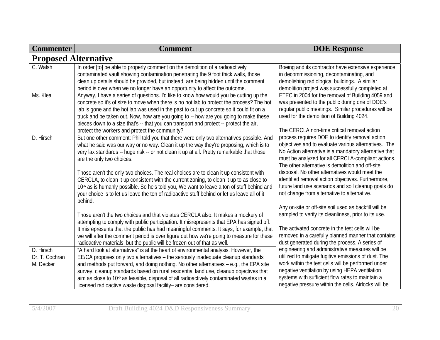| <b>Commenter</b>                         | <b>Comment</b>                                                                                                                                                                                                                                                                                                                                                                                                                                                                                                                                                                                                                                                                                                                                                            | <b>DOE Response</b>                                                                                                                                                                                                                                                                                                                                                                                                                                                                                                                     |
|------------------------------------------|---------------------------------------------------------------------------------------------------------------------------------------------------------------------------------------------------------------------------------------------------------------------------------------------------------------------------------------------------------------------------------------------------------------------------------------------------------------------------------------------------------------------------------------------------------------------------------------------------------------------------------------------------------------------------------------------------------------------------------------------------------------------------|-----------------------------------------------------------------------------------------------------------------------------------------------------------------------------------------------------------------------------------------------------------------------------------------------------------------------------------------------------------------------------------------------------------------------------------------------------------------------------------------------------------------------------------------|
| <b>Proposed Alternative</b>              |                                                                                                                                                                                                                                                                                                                                                                                                                                                                                                                                                                                                                                                                                                                                                                           |                                                                                                                                                                                                                                                                                                                                                                                                                                                                                                                                         |
| C. Walsh                                 | In order [to] be able to properly comment on the demolition of a radioactively<br>contaminated vault showing contamination penetrating the 9 foot thick walls, those<br>clean up details should be provided, but instead, are being hidden until the comment<br>period is over when we no longer have an opportunity to affect the outcome.                                                                                                                                                                                                                                                                                                                                                                                                                               | Boeing and its contractor have extensive experience<br>in decommissioning, decontaminating, and<br>demolishing radiological buildings. A similar<br>demolition project was successfully completed at                                                                                                                                                                                                                                                                                                                                    |
| Ms. Klea                                 | Anyway, I have a series of questions. I'd like to know how would you be cutting up the<br>concrete so it's of size to move when there is no hot lab to protect the process? The hot<br>lab is gone and the hot lab was used in the past to cut up concrete so it could fit on a<br>truck and be taken out. Now, how are you going to -- how are you going to make these<br>pieces down to a size that's -- that you can transport and protect -- protect the air,                                                                                                                                                                                                                                                                                                         | ETEC in 2004 for the removal of Building 4059 and<br>was presented to the public during one of DOE's<br>reqular public meetings. Similar procedures will be<br>used for the demolition of Building 4024.                                                                                                                                                                                                                                                                                                                                |
| D. Hirsch                                | protect the workers and protect the community?<br>But one other comment: Phil told you that there were only two alternatives possible. And<br>what he said was our way or no way. Clean it up the way they're proposing, which is to<br>very lax standards -- huge risk -- or not clean it up at all. Pretty remarkable that those<br>are the only two choices.<br>Those aren't the only two choices. The real choices are to clean it up consistent with<br>CERCLA, to clean it up consistent with the current zoning, to clean it up to as close to<br>10 <sup>-6</sup> as is humanly possible. So he's told you, We want to leave a ton of stuff behind and<br>your choice is to let us leave the ton of radioactive stuff behind or let us leave all of it<br>behind. | The CERCLA non-time critical removal action<br>process requires DOE to identify removal action<br>objectives and to evaluate various alternatives. The<br>No Action alternative is a mandatory alternative that<br>must be analyzed for all CERCLA-compliant actions.<br>The other alternative is demolition and off-site<br>disposal. No other alternatives would meet the<br>identified removal action objectives. Furthermore,<br>future land use scenarios and soil cleanup goals do<br>not change from alternative to alternative. |
|                                          | Those aren't the two choices and that violates CERCLA also. It makes a mockery of<br>attempting to comply with public participation. It misrepresents that EPA has signed off.<br>It misrepresents that the public has had meaningful comments. It says, for example, that<br>we will after the comment period is over figure out how we're going to measure for these<br>radioactive materials, but the public will be frozen out of that as well.                                                                                                                                                                                                                                                                                                                       | Any on-site or off-site soil used as backfill will be<br>sampled to verify its cleanliness, prior to its use.<br>The activated concrete in the test cells will be<br>removed in a carefully planned manner that contains<br>dust generated during the process. A series of                                                                                                                                                                                                                                                              |
| D. Hirsch<br>Dr. T. Cochran<br>M. Decker | "A hard look at alternatives" is at the heart of environmental analysis. However, the<br>EE/CA proposes only two alternatives - the seriously inadequate cleanup standards<br>and methods put forward, and doing nothing. No other alternatives - e.g., the EPA site<br>survey, cleanup standards based on rural residential land use, cleanup objectives that<br>aim as close to 10 <sup>-6</sup> as feasible, disposal of all radioactively contaminated wastes in a<br>licensed radioactive waste disposal facility- are considered.                                                                                                                                                                                                                                   | engineering and administrative measures will be<br>utilized to mitigate fugitive emissions of dust. The<br>work within the test cells will be performed under<br>negative ventilation by using HEPA ventilation<br>systems with sufficient flow rates to maintain a<br>negative pressure within the cells. Airlocks will be                                                                                                                                                                                                             |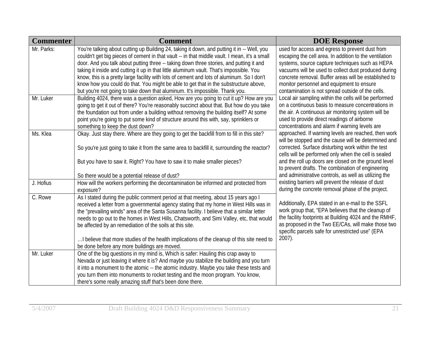| <b>Commenter</b> | <b>Comment</b>                                                                                | <b>DOE Response</b>                                                                                          |
|------------------|-----------------------------------------------------------------------------------------------|--------------------------------------------------------------------------------------------------------------|
| Mr. Parks:       | You're talking about cutting up Building 24, taking it down, and putting it in -- Well, you   | used for access and egress to prevent dust from                                                              |
|                  | couldn't get big pieces of cement in that vault -- in that middle vault. I mean, it's a small | escaping the cell area. In addition to the ventilation                                                       |
|                  | door. And you talk about putting three -- taking down three stories, and putting it and       | systems, source capture techniques such as HEPA                                                              |
|                  | taking it inside and cutting it up in that little aluminum vault. That's impossible. You      | vacuums will be used to collect dust produced during                                                         |
|                  | know, this is a pretty large facility with lots of cement and lots of aluminum. So I don't    | concrete removal. Buffer areas will be established to                                                        |
|                  | know how you could do that. You might be able to get that in the substructure above,          | monitor personnel and equipment to ensure                                                                    |
|                  | but you're not going to take down that aluminum. It's impossible. Thank you.                  | contamination is not spread outside of the cells.                                                            |
| Mr. Luker        | Building 4024, there was a question asked, How are you going to cut it up? How are you        | Local air sampling within the cells will be performed                                                        |
|                  | going to get it out of there? You're reasonably succinct about that. But how do you take      | on a continuous basis to measure concentrations in                                                           |
|                  | the foundation out from under a building without removing the building itself? At some        | the air. A continuous air monitoring system will be                                                          |
|                  | point you're going to put some kind of structure around this with, say, sprinklers or         | used to provide direct readings of airborne                                                                  |
|                  | something to keep the dust down?                                                              | concentrations and alarm if warning levels are                                                               |
| Ms. Klea         | Okay. Just stay there. Where are they going to get the backfill from to fill in this site?    | approached. If warning levels are reached, then work<br>will be stopped and the cause will be determined and |
|                  |                                                                                               | corrected. Surface disturbing work within the test                                                           |
|                  | So you're just going to take it from the same area to backfill it, surrounding the reactor?   | cells will be performed only when the cell is sealed                                                         |
|                  | But you have to saw it. Right? You have to saw it to make smaller pieces?                     | and the roll up doors are closed on the ground level                                                         |
|                  |                                                                                               | to prevent drafts. The combination of engineering                                                            |
|                  | So there would be a potential release of dust?                                                | and administrative controls, as well as utilizing the                                                        |
| J. Hofius        | How will the workers performing the decontamination be informed and protected from            | existing barriers will prevent the release of dust                                                           |
|                  | exposure?                                                                                     | during the concrete removal phase of the project.                                                            |
| C. Rowe          | As I stated during the public comment period at that meeting, about 15 years ago I            |                                                                                                              |
|                  | received a letter from a governmental agency stating that my home in West Hills was in        | Additionally, EPA stated in an e-mail to the SSFL                                                            |
|                  | the "prevailing winds" area of the Santa Susanna facility. I believe that a similar letter    | work group that, "EPA believes that the cleanup of                                                           |
|                  | needs to go out to the homes in West Hills, Chatsworth, and Simi Valley, etc, that would      | the facility footprints at Building 4024 and the RMHF,                                                       |
|                  | be affected by an remediation of the soils at this site.                                      | as proposed in the Two EE/CAs, will make those two                                                           |
|                  |                                                                                               | specific parcels safe for unrestricted use" (EPA                                                             |
|                  | I believe that more studies of the health implications of the cleanup of this site need to    | 2007).                                                                                                       |
|                  | be done before any more buildings are moved.                                                  |                                                                                                              |
| Mr. Luker        | One of the big questions in my mind is, Which is safer: Hauling this crap away to             |                                                                                                              |
|                  | Nevada or just leaving it where it is? And maybe you stabilize the building and you turn      |                                                                                                              |
|                  | it into a monument to the atomic -- the atomic industry. Maybe you take these tests and       |                                                                                                              |
|                  | you turn them into monuments to rocket testing and the moon program. You know,                |                                                                                                              |
|                  | there's some really amazing stuff that's been done there.                                     |                                                                                                              |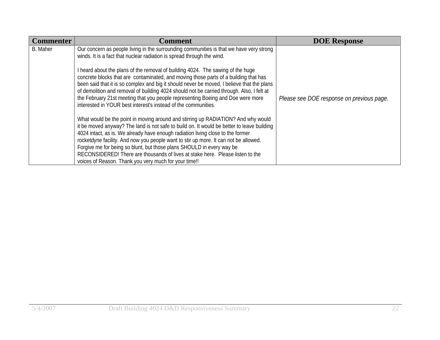| <b>Commenter</b> | <b>Comment</b>                                                                                                                                                                                                                                                                                                                                                                                                                                                                                                                                                                                                                                   | <b>DOE Response</b>                       |
|------------------|--------------------------------------------------------------------------------------------------------------------------------------------------------------------------------------------------------------------------------------------------------------------------------------------------------------------------------------------------------------------------------------------------------------------------------------------------------------------------------------------------------------------------------------------------------------------------------------------------------------------------------------------------|-------------------------------------------|
| <b>B.</b> Maher  | Our concern as people living in the surrounding communities is that we have very strong<br>winds. It is a fact that nuclear radiation is spread through the wind.<br>I heard about the plans of the removal of building 4024. The sawing of the huge<br>concrete blocks that are contaminated, and moving those parts of a building that has<br>been said that it is so complex and big it should never be moved, I believe that the plans<br>of demolition and removal of building 4024 should not be carried through. Also, I felt at<br>the February 21st meeting that you people representing Boeing and Doe were more                       | Please see DOE response on previous page. |
|                  | interested in YOUR best interest's instead of the communities.<br>What would be the point in moving around and stirring up RADIATION? And why would<br>it be moved anyway? The land is not safe to build on. It would be better to leave building<br>4024 intact, as is. We already have enough radiation living close to the former<br>rocketdyne facility. And now you people want to stir up more. It can not be allowed.<br>Forgive me for being so blunt, but those plans SHOULD in every way be<br>RECONSIDERED! There are thousands of lives at stake here. Please listen to the<br>voices of Reason. Thank you very much for your time!! |                                           |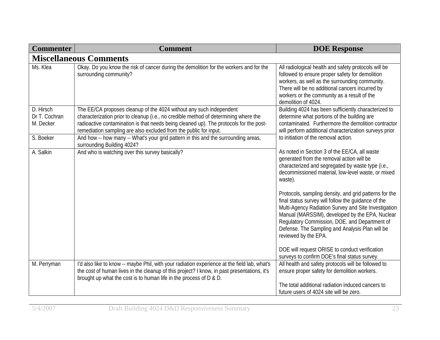| <b>Commenter</b>                        | <b>Comment</b>                                                                                                                                                                                                                                                                                                             | <b>DOE Response</b>                                                                                                                                                                                                                                                                                                                                  |
|-----------------------------------------|----------------------------------------------------------------------------------------------------------------------------------------------------------------------------------------------------------------------------------------------------------------------------------------------------------------------------|------------------------------------------------------------------------------------------------------------------------------------------------------------------------------------------------------------------------------------------------------------------------------------------------------------------------------------------------------|
|                                         | <b>Miscellaneous Comments</b>                                                                                                                                                                                                                                                                                              |                                                                                                                                                                                                                                                                                                                                                      |
| Ms. Klea                                | Okay. Do you know the risk of cancer during the demolition for the workers and for the<br>surrounding community?                                                                                                                                                                                                           | All radiological health and safety protocols will be<br>followed to ensure proper safety for demolition<br>workers, as well as the surrounding community.<br>There will be no additional cancers incurred by<br>workers or the community as a result of the<br>demolition of 4024.                                                                   |
| D. Hirsch<br>Dr T. Cochran<br>M. Decker | The EE/CA proposes cleanup of the 4024 without any such independent<br>characterization prior to cleanup (i.e., no credible method of determining where the<br>radioactive contamination is that needs being cleaned up). The protocols for the post-<br>remediation sampling are also excluded from the public for input. | Building 4024 has been sufficiently characterized to<br>determine what portions of the building are<br>contaminated. Furthermore the demolition contractor<br>will perform additional characterization surveys prior                                                                                                                                 |
| S. Boeker                               | And how -- how many -- What's your grid pattern in this and the surrounding areas,<br>surrounding Building 4024?                                                                                                                                                                                                           | to initiation of the removal action.                                                                                                                                                                                                                                                                                                                 |
| A. Salkin                               | And who is watching over this survey basically?                                                                                                                                                                                                                                                                            | As noted in Section 3 of the EE/CA, all waste<br>generated from the removal action will be<br>characterized and segregated by waste type (i.e.,<br>decommissioned material, low-level waste, or mixed<br>waste).                                                                                                                                     |
|                                         |                                                                                                                                                                                                                                                                                                                            | Protocols, sampling density, and grid patterns for the<br>final status survey will follow the guidance of the<br>Multi-Agency Radiation Survey and Site Investigation<br>Manual (MARSSIM), developed by the EPA, Nuclear<br>Regulatory Commission, DOE, and Department of<br>Defense. The Sampling and Analysis Plan will be<br>reviewed by the EPA. |
|                                         |                                                                                                                                                                                                                                                                                                                            | DOE will request ORISE to conduct verification<br>surveys to confirm DOE's final status survey.                                                                                                                                                                                                                                                      |
| M. Perryman                             | I'd also like to know -- maybe Phil, with your radiation experience at the field lab, what's<br>the cost of human lives in the cleanup of this project? I know, in past presentations, it's<br>brought up what the cost is to human life in the process of D & D.                                                          | All health and safety protocols will be followed to<br>ensure proper safety for demolition workers.                                                                                                                                                                                                                                                  |
|                                         |                                                                                                                                                                                                                                                                                                                            | The total additional radiation induced cancers to<br>future users of 4024 site will be zero.                                                                                                                                                                                                                                                         |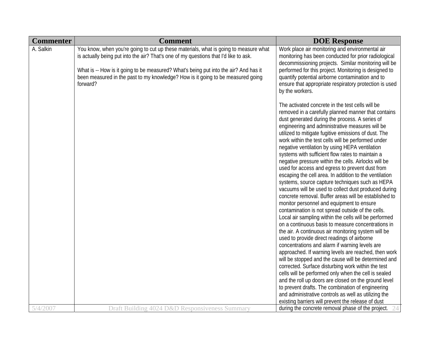| <b>Commenter</b> | <b>Comment</b>                                                                                                                                                                                                                                                                                                                                                      | <b>DOE Response</b>                                                                                                                                                                                                                                                                                                                                                                                                                                                                                                                                                                                                                                                                                                                                                                                                                                                                                                                                                                                                                                                                                                                                                                                                                                                                                                                                                                                                                                                                                                                                                                                         |
|------------------|---------------------------------------------------------------------------------------------------------------------------------------------------------------------------------------------------------------------------------------------------------------------------------------------------------------------------------------------------------------------|-------------------------------------------------------------------------------------------------------------------------------------------------------------------------------------------------------------------------------------------------------------------------------------------------------------------------------------------------------------------------------------------------------------------------------------------------------------------------------------------------------------------------------------------------------------------------------------------------------------------------------------------------------------------------------------------------------------------------------------------------------------------------------------------------------------------------------------------------------------------------------------------------------------------------------------------------------------------------------------------------------------------------------------------------------------------------------------------------------------------------------------------------------------------------------------------------------------------------------------------------------------------------------------------------------------------------------------------------------------------------------------------------------------------------------------------------------------------------------------------------------------------------------------------------------------------------------------------------------------|
| A. Salkin        | You know, when you're going to cut up these materials, what is going to measure what<br>is actually being put into the air? That's one of my questions that I'd like to ask.<br>What is -- How is it going to be measured? What's being put into the air? And has it<br>been measured in the past to my knowledge? How is it going to be measured going<br>forward? | Work place air monitoring and environmental air<br>monitoring has been conducted for prior radiological<br>decommissioning projects. Similar monitoring will be<br>performed for this project. Monitoring is designed to<br>quantify potential airborne contamination and to<br>ensure that appropriate respiratory protection is used<br>by the workers.                                                                                                                                                                                                                                                                                                                                                                                                                                                                                                                                                                                                                                                                                                                                                                                                                                                                                                                                                                                                                                                                                                                                                                                                                                                   |
|                  |                                                                                                                                                                                                                                                                                                                                                                     | The activated concrete in the test cells will be<br>removed in a carefully planned manner that contains<br>dust generated during the process. A series of<br>engineering and administrative measures will be<br>utilized to mitigate fugitive emissions of dust. The<br>work within the test cells will be performed under<br>negative ventilation by using HEPA ventilation<br>systems with sufficient flow rates to maintain a<br>negative pressure within the cells. Airlocks will be<br>used for access and egress to prevent dust from<br>escaping the cell area. In addition to the ventilation<br>systems, source capture techniques such as HEPA<br>vacuums will be used to collect dust produced during<br>concrete removal. Buffer areas will be established to<br>monitor personnel and equipment to ensure<br>contamination is not spread outside of the cells.<br>Local air sampling within the cells will be performed<br>on a continuous basis to measure concentrations in<br>the air. A continuous air monitoring system will be<br>used to provide direct readings of airborne<br>concentrations and alarm if warning levels are<br>approached. If warning levels are reached, then work<br>will be stopped and the cause will be determined and<br>corrected. Surface disturbing work within the test<br>cells will be performed only when the cell is sealed<br>and the roll up doors are closed on the ground level<br>to prevent drafts. The combination of engineering<br>and administrative controls as well as utilizing the<br>existing barriers will prevent the release of dust |
| 5/4/2007         | Draft Building 4024 D&D Responsiveness Summary                                                                                                                                                                                                                                                                                                                      | during the concrete removal phase of the project.                                                                                                                                                                                                                                                                                                                                                                                                                                                                                                                                                                                                                                                                                                                                                                                                                                                                                                                                                                                                                                                                                                                                                                                                                                                                                                                                                                                                                                                                                                                                                           |